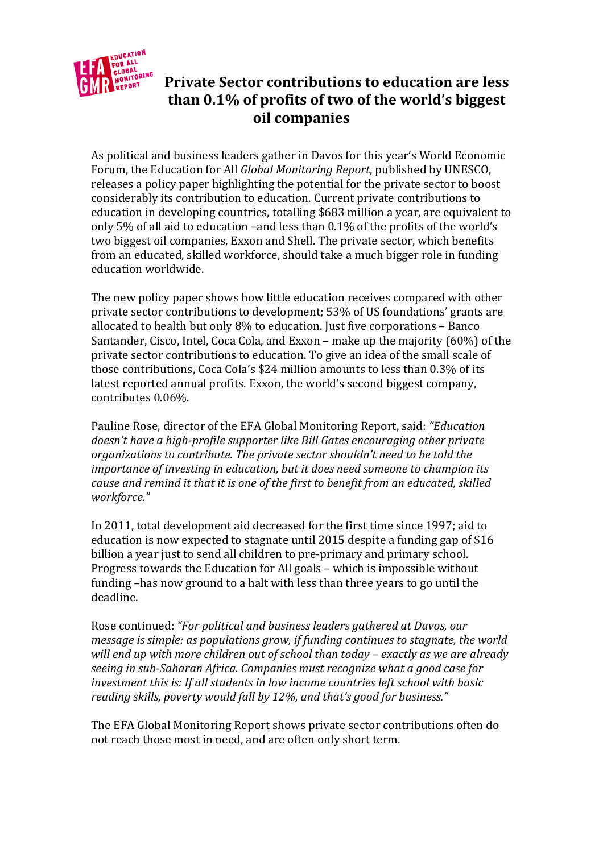

# **Private Sector contributions to education are less than 0.1% of profits of two of the world's biggest oil companies**

As political and business leaders gather in Davos for this year's World Economic Forum, the Education for All *Global Monitoring Report*, published by UNESCO, releases a policy paper highlighting the potential for the private sector to boost considerably its contribution to education. Current private contributions to education in developing countries, totalling \$683 million a year, are equivalent to only 5% of all aid to education –and less than 0.1% of the profits of the world's two biggest oil companies, Exxon and Shell. The private sector, which benefits from an educated, skilled workforce, should take a much bigger role in funding education worldwide.

The new policy paper shows how little education receives compared with other private sector contributions to development; 53% of US foundations' grants are allocated to health but only 8% to education. Just five corporations – Banco Santander, Cisco, Intel, Coca Cola, and Exxon – make up the majority (60%) of the private sector contributions to education. To give an idea of the small scale of those contributions, Coca Cola's \$24 million amounts to less than 0.3% of its latest reported annual profits. Exxon, the world's second biggest company, contributes 0.06%.

Pauline Rose, director of the EFA Global Monitoring Report, said: *"Education doesn't have a high-profile supporter like Bill Gates encouraging other private organizations to contribute. The private sector shouldn't need to be told the importance of investing in education, but it does need someone to champion its cause and remind it that it is one of the first to benefit from an educated, skilled workforce."*

In 2011, total development aid decreased for the first time since 1997; aid to education is now expected to stagnate until 2015 despite a funding gap of \$16 billion a year just to send all children to pre-primary and primary school. Progress towards the Education for All goals – which is impossible without funding –has now ground to a halt with less than three years to go until the deadline.

Rose continued: *"For political and business leaders gathered at Davos, our message is simple: as populations grow, if funding continues to stagnate, the world will end up with more children out of school than today – exactly as we are already seeing in sub-Saharan Africa. Companies must recognize what a good case for investment this is: If all students in low income countries left school with basic reading skills, poverty would fall by 12%, and that's good for business."*

The EFA Global Monitoring Report shows private sector contributions often do not reach those most in need, and are often only short term.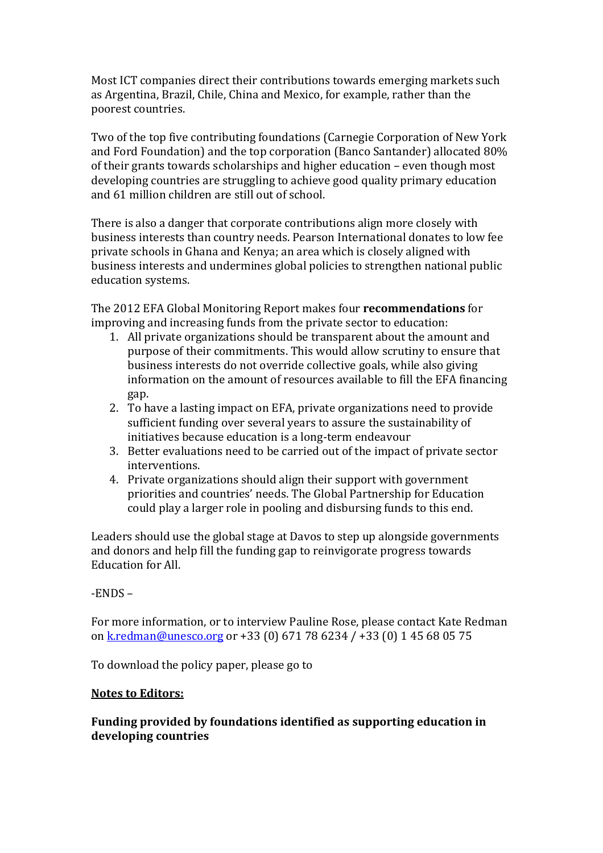Most ICT companies direct their contributions towards emerging markets such as Argentina, Brazil, Chile, China and Mexico, for example, rather than the poorest countries.

Two of the top five contributing foundations (Carnegie Corporation of New York and Ford Foundation) and the top corporation (Banco Santander) allocated 80% of their grants towards scholarships and higher education – even though most developing countries are struggling to achieve good quality primary education and 61 million children are still out of school.

There is also a danger that corporate contributions align more closely with business interests than country needs. Pearson International donates to low fee private schools in Ghana and Kenya; an area which is closely aligned with business interests and undermines global policies to strengthen national public education systems.

The 2012 EFA Global Monitoring Report makes four **recommendations** for improving and increasing funds from the private sector to education:

- 1. All private organizations should be transparent about the amount and purpose of their commitments. This would allow scrutiny to ensure that business interests do not override collective goals, while also giving information on the amount of resources available to fill the EFA financing gap.
- 2. To have a lasting impact on EFA, private organizations need to provide sufficient funding over several years to assure the sustainability of initiatives because education is a long-term endeavour
- 3. Better evaluations need to be carried out of the impact of private sector interventions.
- 4. Private organizations should align their support with government priorities and countries' needs. The Global Partnership for Education could play a larger role in pooling and disbursing funds to this end.

Leaders should use the global stage at Davos to step up alongside governments and donors and help fill the funding gap to reinvigorate progress towards Education for All.

# -ENDS –

For more information, or to interview Pauline Rose, please contact Kate Redman on kredman@unesco.org or +33 (0) 671 78 6234 / +33 (0) 1 45 68 05 75

To download the policy paper, please go to

### **Notes to Editors:**

# **Funding provided by foundations identified as supporting education in developing countries**